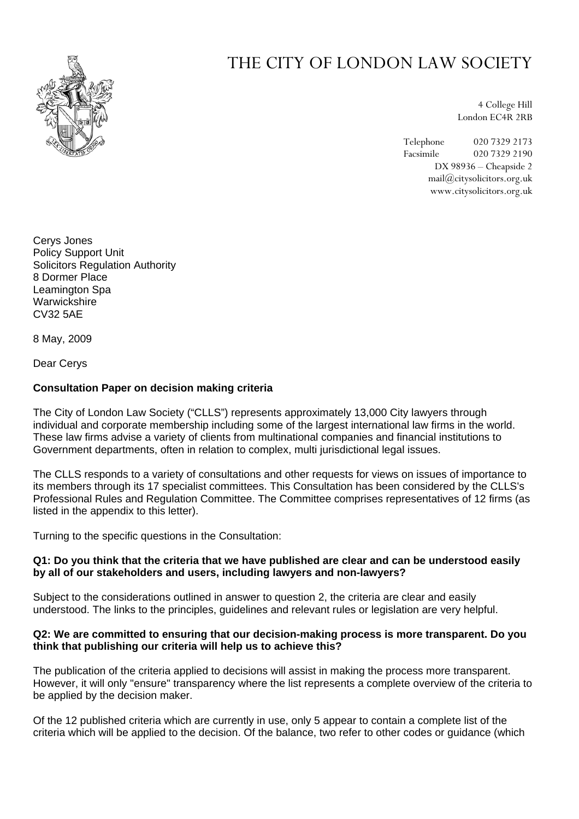

# THE CITY OF LONDON LAW SOCIETY

4 College Hill London EC4R 2RB

Telephone 020 7329 2173 Facsimile 020 7329 2190 DX 98936 – Cheapside 2 mail@citysolicitors.org.uk www.citysolicitors.org.uk

Cerys Jones Policy Support Unit Solicitors Regulation Authority 8 Dormer Place Leamington Spa **Warwickshire** CV32 5AE

8 May, 2009

Dear Cerys

#### **Consultation Paper on decision making criteria**

The City of London Law Society ("CLLS") represents approximately 13,000 City lawyers through individual and corporate membership including some of the largest international law firms in the world. These law firms advise a variety of clients from multinational companies and financial institutions to Government departments, often in relation to complex, multi jurisdictional legal issues.

The CLLS responds to a variety of consultations and other requests for views on issues of importance to its members through its 17 specialist committees. This Consultation has been considered by the CLLS's Professional Rules and Regulation Committee. The Committee comprises representatives of 12 firms (as listed in the appendix to this letter).

Turning to the specific questions in the Consultation:

#### **Q1: Do you think that the criteria that we have published are clear and can be understood easily by all of our stakeholders and users, including lawyers and non-lawyers?**

Subject to the considerations outlined in answer to question 2, the criteria are clear and easily understood. The links to the principles, guidelines and relevant rules or legislation are very helpful.

### **Q2: We are committed to ensuring that our decision-making process is more transparent. Do you think that publishing our criteria will help us to achieve this?**

The publication of the criteria applied to decisions will assist in making the process more transparent. However, it will only "ensure" transparency where the list represents a complete overview of the criteria to be applied by the decision maker.

Of the 12 published criteria which are currently in use, only 5 appear to contain a complete list of the criteria which will be applied to the decision. Of the balance, two refer to other codes or guidance (which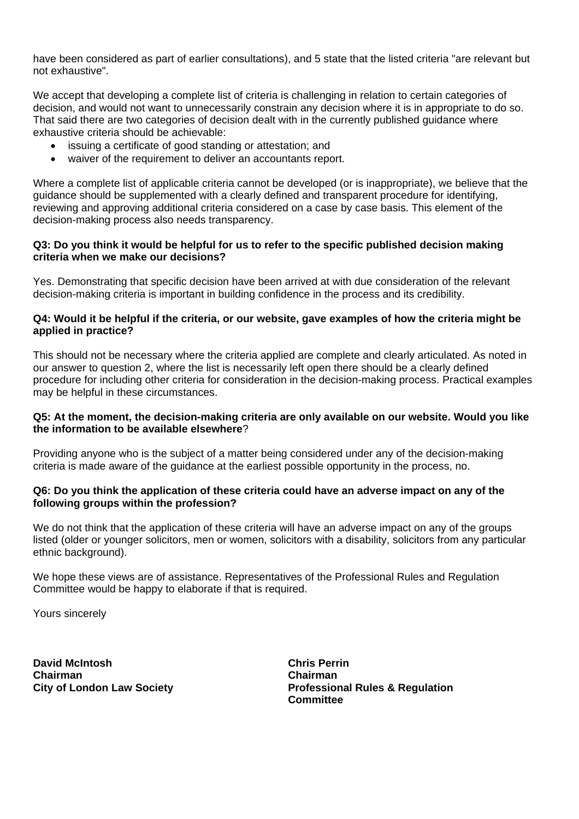have been considered as part of earlier consultations), and 5 state that the listed criteria "are relevant but not exhaustive".

We accept that developing a complete list of criteria is challenging in relation to certain categories of decision, and would not want to unnecessarily constrain any decision where it is in appropriate to do so. That said there are two categories of decision dealt with in the currently published guidance where exhaustive criteria should be achievable:

- issuing a certificate of good standing or attestation; and
- waiver of the requirement to deliver an accountants report.

Where a complete list of applicable criteria cannot be developed (or is inappropriate), we believe that the guidance should be supplemented with a clearly defined and transparent procedure for identifying, reviewing and approving additional criteria considered on a case by case basis. This element of the decision-making process also needs transparency.

### **Q3: Do you think it would be helpful for us to refer to the specific published decision making criteria when we make our decisions?**

Yes. Demonstrating that specific decision have been arrived at with due consideration of the relevant decision-making criteria is important in building confidence in the process and its credibility.

## **Q4: Would it be helpful if the criteria, or our website, gave examples of how the criteria might be applied in practice?**

This should not be necessary where the criteria applied are complete and clearly articulated. As noted in our answer to question 2, where the list is necessarily left open there should be a clearly defined procedure for including other criteria for consideration in the decision-making process. Practical examples may be helpful in these circumstances.

## **Q5: At the moment, the decision-making criteria are only available on our website. Would you like the information to be available elsewhere**?

Providing anyone who is the subject of a matter being considered under any of the decision-making criteria is made aware of the guidance at the earliest possible opportunity in the process, no.

## **Q6: Do you think the application of these criteria could have an adverse impact on any of the following groups within the profession?**

We do not think that the application of these criteria will have an adverse impact on any of the groups listed (older or younger solicitors, men or women, solicitors with a disability, solicitors from any particular ethnic background).

We hope these views are of assistance. Representatives of the Professional Rules and Regulation Committee would be happy to elaborate if that is required.

Yours sincerely

**David McIntosh Chairman City of London Law Society**  **Chris Perrin Chairman Professional Rules & Regulation Committee**